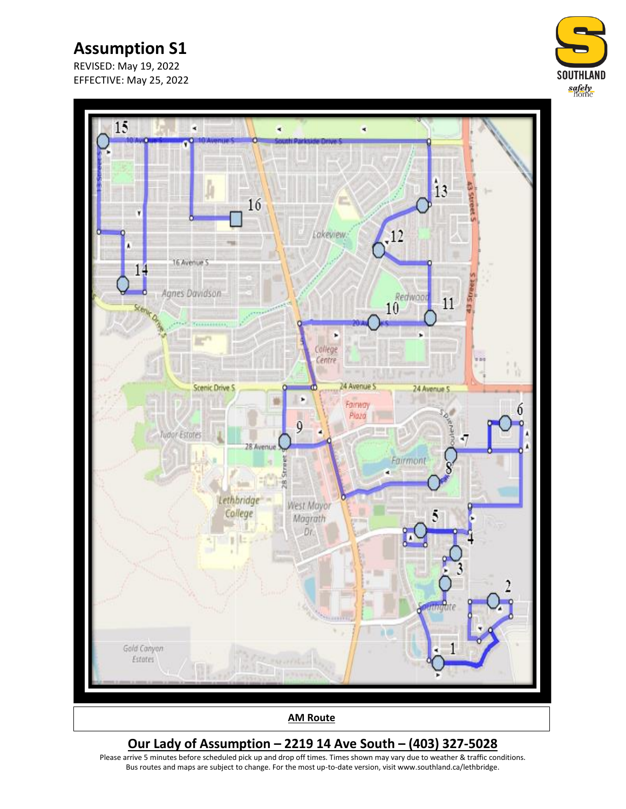REVISED: May 19, 2022 EFFECTIVE: May 25, 2022





### **Our Lady of Assumption – 2219 14 Ave South – (403) 327-5028**

Please arrive 5 minutes before scheduled pick up and drop off times. Times shown may vary due to weather & traffic conditions. Bus routes and maps are subject to change. For the most up-to-date version, visit www.southland.ca/lethbridge.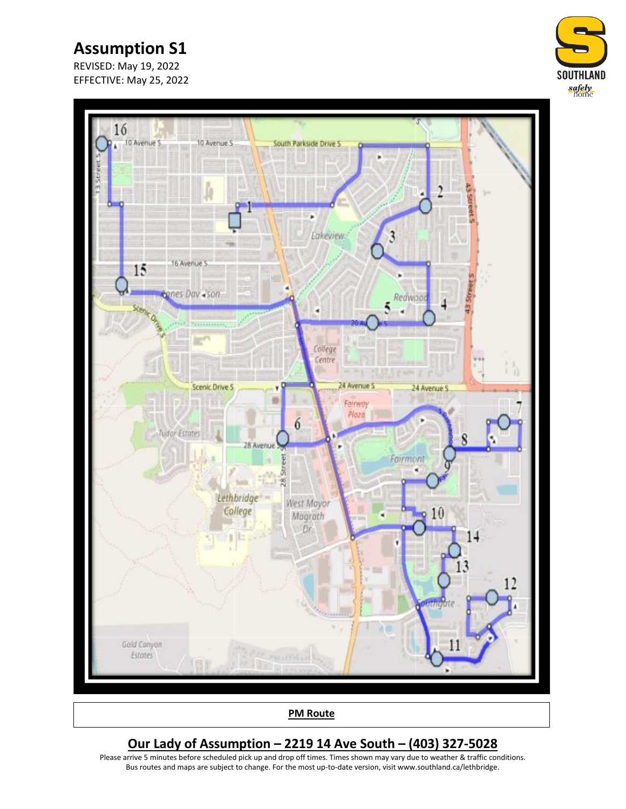REVISED: May 19, 2022 EFFECTIVE: May 25, 2022





**PM Route**

#### **Our Lady of Assumption – 2219 14 Ave South – (403) 327-5028**

Please arrive 5 minutes before scheduled pick up and drop off times. Times shown may vary due to weather & traffic conditions. Bus routes and maps are subject to change. For the most up-to-date version, visit www.southland.ca/lethbridge.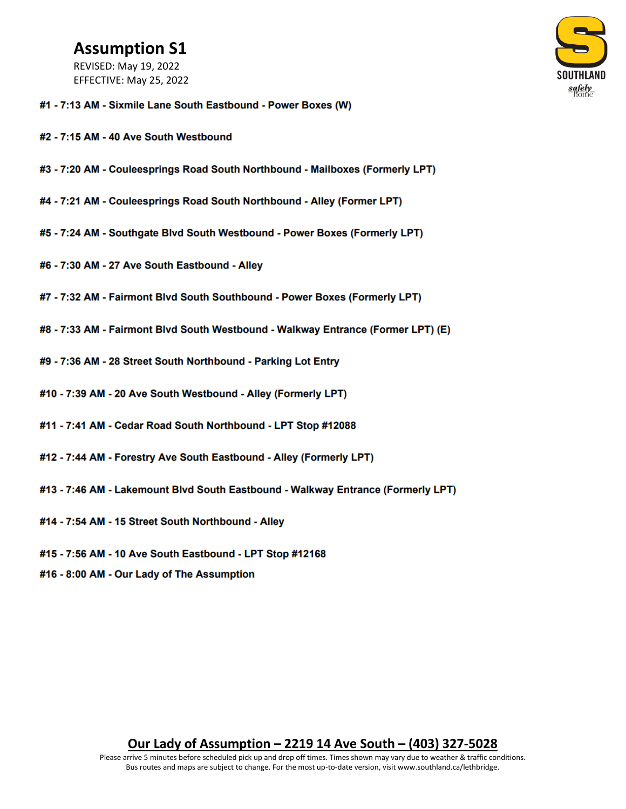REVISED: May 19, 2022 EFFECTIVE: May 25, 2022



- #1 7:13 AM Sixmile Lane South Eastbound Power Boxes (W)
- #2 7:15 AM 40 Ave South Westbound
- #3 7:20 AM Couleesprings Road South Northbound Mailboxes (Formerly LPT)
- #4 7:21 AM Couleesprings Road South Northbound Alley (Former LPT)
- #5 7:24 AM Southgate Blvd South Westbound Power Boxes (Formerly LPT)
- #6 7:30 AM 27 Ave South Eastbound Alley
- #7 7:32 AM Fairmont Blvd South Southbound Power Boxes (Formerly LPT)
- #8 7:33 AM Fairmont Blvd South Westbound Walkway Entrance (Former LPT) (E)
- #9 7:36 AM 28 Street South Northbound Parking Lot Entry
- #10 7:39 AM 20 Ave South Westbound Alley (Formerly LPT)
- #11 7:41 AM Cedar Road South Northbound LPT Stop #12088
- #12 7:44 AM Forestry Ave South Eastbound Alley (Formerly LPT)
- #13 7:46 AM Lakemount Blvd South Eastbound Walkway Entrance (Formerly LPT)
- #14 7:54 AM 15 Street South Northbound Alley
- #15 7:56 AM 10 Ave South Eastbound LPT Stop #12168
- #16 8:00 AM Our Lady of The Assumption

#### Our Lady of Assumption – 2219 14 Ave South – (403) 327-5028